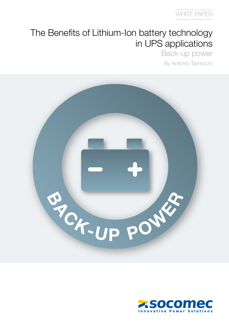## The Benefits of Lithium-Ion battery technology in UPS applications

Back-up power By Antonio Tamiozzo



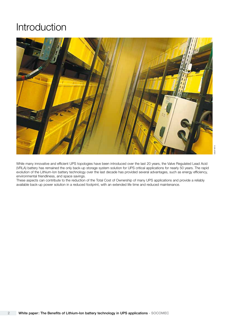## Introduction



While many innovative and efficient UPS topologies have been introduced over the last 20 years, the Valve Regulated Lead Acid (VRLA) battery has remained the only back-up storage system solution for UPS critical applications for nearly 50 years. The rapid evolution of the Lithium-Ion battery technology over the last decade has provided several advantages, such as energy efficiency, environmental friendliness, and space savings.

These aspects can contribute to the reduction of the Total Cost of Ownership of many UPS applications and provide a reliably available back-up power solution in a reduced footprint, with an extended life time and reduced maintenance.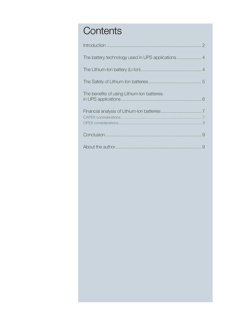# **Contents**

| The battery technology used in UPS applications  4 |  |
|----------------------------------------------------|--|
|                                                    |  |
|                                                    |  |
| The benefits of using Lithium-Ion batteries        |  |
|                                                    |  |
|                                                    |  |
|                                                    |  |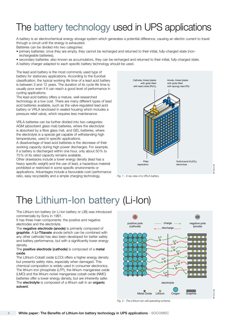# The battery technology used in UPS applications

A battery is an electrochemical energy storage system which generates a potential difference, causing an electric current to travel through a circuit until the energy is exhausted.

Batteries can be divided into two categories:

- primary batteries: once they are empty, they cannot be recharged and returned to their initial, fully-charged state (nonrechargeable batteries),
- secondary batteries: also known as accumulators, they can be recharged and returned to their initial, fully-charged state.
- A battery charger adapted to each specific battery technology should be used.

The lead acid battery is the most commonly used type of battery for stationary applications. According to the Eurobat classification, the typical working life time of a lead acid battery is between 3 and 12 years. The duration of its cycle life time is usually poor even if it can reach a good level of performance in cycling applications.

The lead acid battery offers a mature, well-researched technology at a low cost. There are many different types of lead acid batteries available, such as the valve-regulated lead acid battery or VRLA (enclosed in sealed housing which includes a pressure relief valve), which requires less maintenance.

VRLA batteries can be further divided into two categories: AGM (absorbent glass mat) batteries, where the electrolyte is absorbed by a fibre glass mat, and GEL batteries, where the electrolyte is a special gel capable of withstanding high temperatures, used in specific applications.

A disadvantage of lead acid batteries is the decrease of their working capacity during high power discharges. For example, if a battery is discharged within one hour, only about 50% to 70% of its rated capacity remains available.

Other drawbacks include a lower energy density (lead has a heavy specific weight) and the use of lead, a hazardous material prohibited or restricted in some specific environments or applications. Advantages include a favourable cost/performance ratio, easy recyclability and a simple charging technology.



Fig. 1 - X-ray view of a VRLA battery.

# The Lithium-Ion battery (Li-Ion)

The Lithium-Ion battery (or Li-Ion battery or LIB) was introduced commercially by Sony in 1991.

It has three main components: the positive and negative electrodes and the electrolyte.

The negative electrode (anode) is primarily composed of graphite. A Li-Titanate anode (which can be combined with any other cathode) has also been developed for better safety and battery performance, but with a significantly lower energy density.

#### The positive electrode (cathode) is composed of a metal oxide.

The Lithium-Cobalt oxide (LCO) offers a higher energy density but presents safety risks, especially when damaged. This chemical composition is widely used in consumer electronics. The lithium iron phosphate (LFP), the lithium manganese oxide (LMO) and the lithium nickel manganese cobalt oxide (NMC) batteries offer a lower energy density, but are inherently safer. The electrolyte is composed of a lithium salt in an organic solvent.



WP 052 A GB

IS<sub>2</sub>

Fig. 2 - The Lithium-Ion cell operating scheme.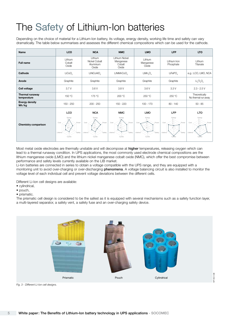# The Safety of Lithium-Ion batteries

Depending on the choice of material for a Lithium-Ion battery, its voltage, energy density, working life time and safety can vary dramatically. The table below summarises and assesses the different chemical compositions which can be used for the cathode.

| <b>LCO</b><br>Name             |                                                                     | <b>NCA</b>                                                           | <b>NMC</b>                                                    | <b>LMO</b>                                              | <b>LFP</b>                                              | <b>LTO</b>                                    |
|--------------------------------|---------------------------------------------------------------------|----------------------------------------------------------------------|---------------------------------------------------------------|---------------------------------------------------------|---------------------------------------------------------|-----------------------------------------------|
| <b>Full name</b>               | Lithium<br>Cobalt<br>Oxide                                          | Lithium<br>Nickel Cobalt<br>Aluminium<br>Oxide                       | <b>Lithium Nickel</b><br>Manganese<br>Cobalt<br>Oxide         | Lithium<br>Manganese<br>Oxide                           | Lithium Iron<br>Phosphate                               | Lithium<br>Titanate                           |
| Cathode                        | LiCoO <sub>2</sub>                                                  | LiNiCoAIO <sub>2</sub>                                               | LiNiMnCoO <sub>2</sub>                                        | LiMn <sub>2</sub> O <sub>4</sub>                        | LiFePO,                                                 | e.g.: LCO, LMO, NCA                           |
| Anode                          | Graphite                                                            | Graphite                                                             | Graphite                                                      | Graphite                                                | Graphite                                                | $Li4Ti5O2$                                    |
| Cell voltage                   | 3.7V                                                                | 3.6V                                                                 | 3.8V                                                          | 3.6V                                                    | 3.3V                                                    | $2.3 - 2.5V$                                  |
| Thermal runaway<br>temperature | 150 °C                                                              | 175 °C                                                               | 200 °C                                                        | 250 °C                                                  | 250 °C                                                  | Theoretically<br>No thermal run away          |
| <b>Energy density</b><br>Wh/kg | $150 - 250$                                                         | $200 - 250$                                                          | 150 - 220                                                     | $100 - 170$                                             | $80 - 140$                                              | $50 - 85$                                     |
|                                | <b>LCO</b>                                                          | <b>NCA</b>                                                           | <b>NMC</b>                                                    | <b>LMO</b>                                              | <b>LFP</b>                                              | <b>LTO</b>                                    |
| <b>Chemistry comparison</b>    | Energy<br>Power<br>Cost<br><b>D</b><br>Lifetime<br>Safety<br>Cycles | Energy<br>Cost<br>Power<br><b>IO</b><br>Lifetime<br>Safety<br>Cycles | Energy<br>Cost<br>Power<br>IŒ<br>Lifetime<br>Safety<br>Cycles | Energy<br>Cost<br>Power<br>Safety<br>Lifetime<br>Cycles | Energy<br>Cost<br>Power<br>Lifetime<br>Safety<br>Cvcles | Energy<br>Cost<br>Power<br>Lifetime<br>Cycles |

Most metal oxide electrodes are thermally unstable and will decompose at higher temperatures, releasing oxygen which can lead to a thermal runaway condition. In UPS applications, the most commonly used electrode chemical compositions are the lithium manganese oxide (LMO) and the lithium nickel manganese cobalt oxide (NMC), which offer the best compromise between performance and safety levels currently available on the LIB market.

Li-Ion batteries are connected in series to obtain a voltage compatible with the UPS range, and they are equipped with a monitoring unit to avoid over-charging or over-discharging **phenomena**. A voltage balancing circuit is also installed to monitor the voltage level of each individual cell and prevent voltage deviations between the different cells.

Different Li-Ion cell designs are available:

- cylindrical,
- pouch,
- prismatic.

The prismatic cell design is considered to be the safest as it is equipped with several mechanisms such as a safety function layer, a multi-layered separator, a safety vent, a safety fuse and an over-charging safety device.



wp 052 a gb

**152 A** 

Fig. 3 - Different Li-Ion cell designs.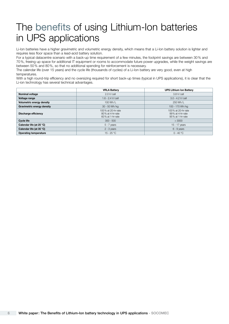## The benefits of using Lithium-Ion batteries in UPS applications

Li-Ion batteries have a higher gravimetric and volumetric energy density, which means that a Li-Ion battery solution is lighter and requires less floor space than a lead-acid battery solution.

For a typical datacentre scenario with a back-up time requirement of a few minutes, the footprint savings are between 30% and 70%, freeing up space for additional IT equipment or rooms to accommodate future power upgrades, while the weight savings are between 50% and 80%, so that no additional spending for reinforcement is necessary.

The calendar life (over 15 years) and the cycle life (thousands of cycles) of a Li-Ion battery are very good, even at high temperatures.

With a high round-trip efficiency and no oversizing required for short back-up times (typical in UPS applications), it is clear that the Li-ion technology has several technical advantages.

|                              | <b>VRLA Battery</b>                                        | <b>UPS Lithium Ion Battery</b>                             |
|------------------------------|------------------------------------------------------------|------------------------------------------------------------|
| <b>Nominal voltage</b>       | 2.0 V/cell                                                 | $3.8$ V/cell                                               |
| Voltage range                | $1.6 - 2.4$ V/cell                                         | $3.0 - 4.2$ V/cell                                         |
| Volumetric energy density    | $100$ Wh/L                                                 | 250 Wh/L                                                   |
| Gravimetric energy density   | 30 - 50 Wh/kg                                              | 100 - 170 Wh/kg                                            |
| Discharge efficiency         | 100% at 20-hr rate<br>80% at 4-hr rate<br>60% at 1-hr rate | 100% at 20-hr rate<br>99% at 4-hr rate<br>95% at 1-hr rate |
| <b>Cycle life</b>            | $300 - 500$                                                | > 3000                                                     |
| Calendar life (at 25 °C)     | $5 - 7$ years                                              | 15 - 17 years                                              |
| Calendar life (at 35 °C)     | $2 - 3$ years                                              | $6 - 9$ years                                              |
| <b>Operating temperature</b> | $15 - 25 °C$                                               | $0 - 40 °C$                                                |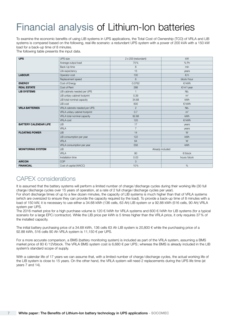# Financial analysis of Lithium-Ion batteries

To examine the economic benefits of using LIB systems in UPS applications, the Total Cost of Ownership (TCO) of VRLA and LIB systems is compared based on the following, real-life scenario: a redundant UPS system with a power of 200 kVA with a 150 kW load for a back-up time of 8 minutes.

The following table presents the input data.

| <b>UPS</b>                   | <b>UPS</b> size                | $2 \times 200$ (redundant) | kW                   |  |  |
|------------------------------|--------------------------------|----------------------------|----------------------|--|--|
|                              | Average output load            | 75%                        | $%$ Pn               |  |  |
|                              | Back-Up time                   | 8                          | min                  |  |  |
|                              | Life expectancy                | 15                         | years                |  |  |
| <b>LABOUR</b>                | Operator cost                  | 100                        | $\epsilon/h$         |  |  |
|                              | Replacement speed              | 6                          | block/hour           |  |  |
| <b>ENERGY</b>                | Cost of Energy                 | 0.0762                     | E/KWh                |  |  |
| <b>REAL ESTATE</b>           | Cost of Rent                   | 288                        | $\epsilon/m^2$ /year |  |  |
| <b>LIB SYSTEMS</b>           | LIB cabinets needed per UPS    | $\mathbf{1}$               | Nb.                  |  |  |
|                              | LIB unitary cabinet footprint  | 0.39                       | m <sup>2</sup>       |  |  |
|                              | LIB total nominal capacity     | 34.68                      | <b>kWh</b>           |  |  |
|                              | LIB cost                       | 600                        | €/kWh                |  |  |
| <b>VRLA BATTERIES</b>        | VRLA cabinets needed per UPS   | $\overline{2}$             | Nb.                  |  |  |
|                              | VRLA unitary cabinet footprint | 0.7                        | m <sup>2</sup>       |  |  |
|                              | VRLA total nominal capacity    | 92.88                      | <b>kWh</b>           |  |  |
|                              | <b>VRLA cost</b>               | 120                        | €/kWh                |  |  |
| <b>BATTERY CALENDAR LIFE</b> | <b>LIB</b>                     | 17                         | years                |  |  |
|                              | VRLA                           | $\overline{7}$             | years                |  |  |
| <b>FLOATING POWER</b>        | <b>LIB</b>                     | 14                         | W                    |  |  |
|                              | LIB consumption per year       | 122                        | <b>kWh</b>           |  |  |
|                              | <b>VRLA</b>                    | 64                         | W                    |  |  |
|                              | VRLA consumption per year      | 556                        | kWh                  |  |  |
| <b>MONITORING SYSTEM</b>     | <b>LIB</b>                     |                            | Already included     |  |  |
|                              | <b>VRLA</b>                    | 80                         | $\epsilon$ /block    |  |  |
|                              | Installation time              | 0.03                       | hours/block          |  |  |
| <b>AIRCON</b>                | COP                            | 3                          |                      |  |  |
| <b>FINANCIAL</b>             | Cost of capital (WACC)         | 10%                        | %                    |  |  |

### CAPEX considerations

It is assumed that the battery systems will perform a limited number of charge/discharge cycles during their working life (30 full charge/discharge cycles over 15 years of operation, at a rate of 2 full charge/discharge cycles per year).

For short discharge times of up to a few dozen minutes, the capacity of LIB systems is much higher than that of VRLA systems (which are oversized to ensure they can provide the capacity required by the load). To provide a back-up time of 8 minutes with a load of 150 kW, it is necessary to use either a 34.68 kWh (136 cells, 63 Ah) LIB system or a 92.88 kWh (516 cells, 90 Ah) VRLA system per UPS.

The 2016 market price for a high purchase volume is 120 €/ kWh for VRLA systems and 600 €/ kWh for LIB systems (for a typical scenario for a large EPC/contractor). While the LIB price per kWh is 5 times higher than the VRLA price, it only requires 37% of the installed capacity.

The initial battery purchasing price of a 34.68 kWh, 136 cells 63 Ah LIB system is 20,800 € while the purchasing price of a 92.88 kWh, 516 cells 90 Ah VRLA system is 11,150 € per UPS.

For a more accurate comparison, a BMS (battery monitoring system) is included as part of the VRLA system, assuming a BMS market price of 80  $\epsilon$ /12Vblock. The VRLA BMS system cost is 6,680  $\epsilon$  per UPS; whereas the BMS is already included in the LIB system's standard scope of supply.

With a calendar life of 17 years we can assume that, with a limited number of charge/discharge cycles, the actual working life of the LIB system is close to 15 years. On the other hand, the VRLA system will need 2 replacements during the UPS life time (at years 7 and 14).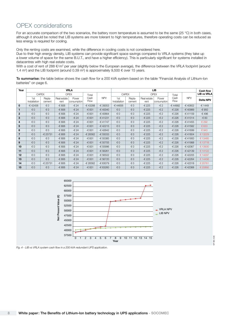### OPEX considerations

For an accurate comparison of the two scenarios, the battery room temperature is assumed to be the same (25 °C) in both cases, although it should be noted that LIB systems are more tolerant to high temperatures, therefore operating costs can be reduced as less energy is required for cooling.

Only the renting costs are examined, while the difference in cooling costs is not considered here.

Due to their high energy density, LIB systems can provide significant space savings compared to VRLA systems (they take up a lower volume of space for the same B.U.T., and have a higher efficiency). This is particularly significant for systems installed in datacentres with high real estate costs.

With a cost of rent of 288  $\epsilon/m^2$  per year (slightly below the European average), the difference between the VRLA footprint (around 1.4 m<sup>2</sup>) and the LIB footprint (around 0.39 m<sup>2</sup>) is approximately 9,500  $\epsilon$  over 15 years.

To summarise: the table below shows the cash flow for a 200 kVA system based on the table "Financial Analysis of Lithium-Ion batteries" on page 6.

| Year         | <b>VRLA</b>         |                  |                     |                      |                            |                     | <b>LIB</b>                  |                     |                      |               |            | <b>Cash flow</b>   |         |
|--------------|---------------------|------------------|---------------------|----------------------|----------------------------|---------------------|-----------------------------|---------------------|----------------------|---------------|------------|--------------------|---------|
|              | <b>CAPEX</b>        |                  |                     | <b>OPEX</b>          | Total                      |                     | <b>CAPEX</b><br><b>OPEX</b> |                     |                      | Total         |            | <b>LIB vs VRLA</b> |         |
|              | 1st<br>Installation | Repla-<br>cement | Real estate<br>rent | Power<br>consumption | <b>NPV</b><br>Cash<br>Flow | 1st<br>Installation | Repla-<br>cement            | Real estate<br>rent | Power<br>consumption | Cash<br>Flow  | <b>NPV</b> | <b>Delta NPV</b>   |         |
| $\mathbf 0$  | -€42458             | €0               | -€ 806              | $-624$               | -€43288                    | -€ 39353            | $-644656$                   | €0                  | -€ 225               | $-\epsilon$ 2 | -€44882    | -€40802            | -€ 1449 |
|              | $\notin$ 0          | €0               | -€ 806              | $-624$               | -€ 831                     | $-640040$           | $\notin$ 0                  | €0                  | -€ 225               | $-\epsilon$ 2 | -€ 226     | -€40989            | -€ 950  |
| $\mathbf{2}$ | €0                  | €0               | -€ 806              | $-624$               | -€ 831                     | -€40664             | €0                          | €0                  | -€ 225               | $-\epsilon$ 2 | -€ 226     | $-641159$          | -€496   |
| 3            | €0                  | €0               | -€ 806              | $-624$               | -€831                      | $-641231$           | €0                          | €0                  | -€ 225               | $-\epsilon$ 2 | -€ 226     | $-641314$          | -€83    |
| 4            | €0                  | €0               | -€ 806              | $-624$               | -€831                      | $-641747$           | €0                          | €0                  | -€ 225               | $-\epsilon$ 2 | -€ 226     | $-641455$          | € 292   |
| 5            | $\notin$ 0          | €0               | -€ 806              | $-624$               | -€831                      | $-642215$           | $\notin$ 0                  | €0                  | -€ 225               | $-\epsilon$ 2 | -€ 226     | $-641582$          | € 633   |
| 6            | €0                  | €0               | -€ 806              | $-624$               | -€831                      | -€42642             | €0                          | €0                  | -€ 225               | $-\epsilon$ 2 | -€ 226     | -€41699            | €943    |
| 7            | $\notin$ 0          | -€ 25731         | -€ 806              | $-624$               | -€ 26562                   | $-65033$            | $\notin$ 0                  | €0                  | -€ 225               | $-\epsilon$ 2 | -€ 226     | $-641804$          | € 13229 |
| 8            | €0                  | €0               | -€ 806              | $-624$               | $-6831$                    | $-65385$            | €0                          | €0                  | -€ 225               | $-\epsilon$ 2 | -€ 226     | $-641900$          | € 13485 |
| 9            | €0                  | €0               | -€ 806              | $-624$               | $-6831$                    | $-655705$           | €0                          | €0                  | -€ 225               | $-\epsilon$ 2 | -€ 226     | $-641988$          | € 13718 |
| 10           | €0                  | €0               | -€ 806              | $-624$               | $-6831$                    | -€ 55996            | €0                          | €0                  | -€ 225               | $-\epsilon$ 2 | -€ 226     | -€42067            | € 13930 |
| 11           | $\notin$ 0          | €0               | -€ 806              | $-624$               | -€831                      | -€ 56261            | $\notin$ 0                  | €0                  | -€ 225               | $-\epsilon$ 2 | -€ 226     | $-642139$          | € 14122 |
| 12           | €0                  | €0               | -€ 806              | $-624$               | -€831                      | -€ 56502            | €0                          | €0                  | -€ 225               | $-\epsilon$ 2 | -€ 226     | -€42205            | € 14297 |
| 13           | $\notin$ 0          | €0               | -€ 806              | $-624$               | -€831                      | $-656720$           | $\notin$ 0                  | €0                  | -€ 225               | $-\epsilon$ 2 | -€ 226     | $-642264$          | € 14456 |
| 14           | €0                  | -€ 25731         | -€ 806              | $-624$               | -€ 26562                   | -€ 63079            | €0                          | €0                  | -€ 225               | $-\epsilon$ 2 | -€ 226     | $-642318$          | € 20761 |
| 15           | €0                  | €0               | -€ 806              | $-624$               | -€831                      | $-663260$           | $\notin$ 0                  | €0                  | -€ 225               | $-\epsilon$ 2 | -€ 226     | $-642368$          | € 20892 |



wp 086 a gb

086 A GB

Fig. 4 - LIB vs VRLA system cash flow in a 200 kVA redundant UPS application.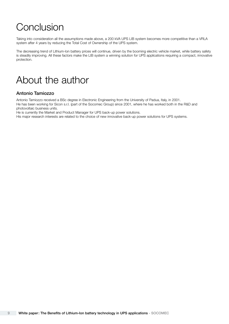## Conclusion

Taking into consideration all the assumptions made above, a 200 kVA UPS LIB system becomes more competitive than a VRLA system after 4 years by reducing the Total Cost of Ownership of the UPS system.

The decreasing trend of Lithium-Ion battery prices will continue, driven by the booming electric vehicle market, while battery safety is steadily improving. All these factors make the LIB system a winning solution for UPS applications requiring a compact, innovative protection.

### About the author

### Antonio Tamiozzo

Antonio Tamiozzo received a BSc degree in Electronic Engineering from the University of Padua, Italy, in 2001. He has been working for Sicon s.r.l. (part of the Socomec Group) since 2001, where he has worked both in the R&D and photovoltaic business units.

He is currently the Market and Product Manager for UPS back-up power solutions.

His major research interests are related to the choice of new innovative back-up power solutions for UPS systems.